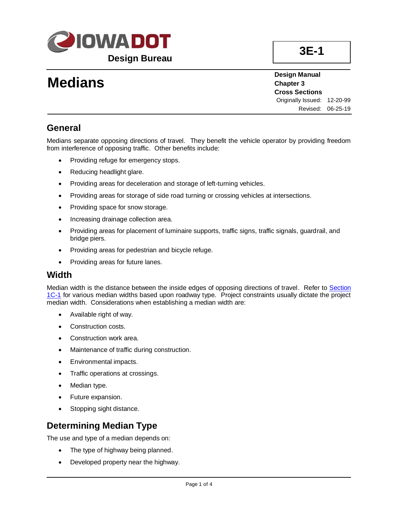

# **Medians**

**Design Manual Chapter 3 Cross Sections** Originally Issued: 12-20-99 Revised: 06-25-19

### **General**

Medians separate opposing directions of travel. They benefit the vehicle operator by providing freedom from interference of opposing traffic. Other benefits include:

- Providing refuge for emergency stops.
- Reducing headlight glare.
- Providing areas for deceleration and storage of left-turning vehicles.
- Providing areas for storage of side road turning or crossing vehicles at intersections.
- Providing space for snow storage.
- Increasing drainage collection area.
- Providing areas for placement of luminaire supports, traffic signs, traffic signals, guardrail, and bridge piers.
- Providing areas for pedestrian and bicycle refuge.
- Providing areas for future lanes.

#### **Width**

Median width is the distance between the inside edges of opposing directions of travel. Refer to [Section](01c-01.pdf)  [1C-1](01c-01.pdf) for various median widths based upon roadway type. Project constraints usually dictate the project median width. Considerations when establishing a median width are:

- Available right of way.
- Construction costs.
- Construction work area.
- Maintenance of traffic during construction.
- Environmental impacts.
- Traffic operations at crossings.
- Median type.
- Future expansion.
- Stopping sight distance.

## **Determining Median Type**

The use and type of a median depends on:

- The type of highway being planned.
- Developed property near the highway.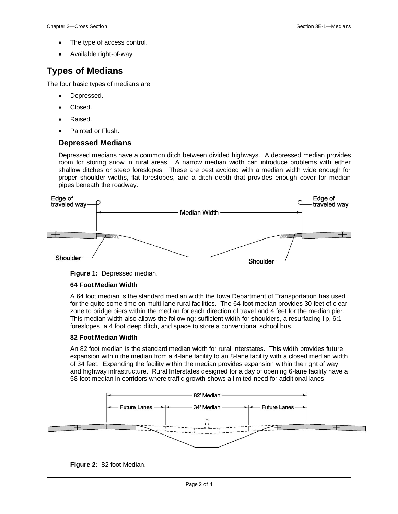- The type of access control.
- Available right-of-way.

## **Types of Medians**

The four basic types of medians are:

- Depressed.
- Closed.
- Raised.
- Painted or Flush.

#### **Depressed Medians**

Depressed medians have a common ditch between divided highways. A depressed median provides room for storing snow in rural areas. A narrow median width can introduce problems with either shallow ditches or steep foreslopes. These are best avoided with a median width wide enough for proper shoulder widths, flat foreslopes, and a ditch depth that provides enough cover for median pipes beneath the roadway.





#### **64 Foot Median Width**

A 64 foot median is the standard median width the Iowa Department of Transportation has used for the quite some time on multi-lane rural facilities. The 64 foot median provides 30 feet of clear zone to bridge piers within the median for each direction of travel and 4 feet for the median pier. This median width also allows the following: sufficient width for shoulders, a resurfacing lip, 6:1 foreslopes, a 4 foot deep ditch, and space to store a conventional school bus.

#### **82 Foot Median Width**

An 82 foot median is the standard median width for rural Interstates. This width provides future expansion within the median from a 4-lane facility to an 8-lane facility with a closed median width of 34 feet. Expanding the facility within the median provides expansion within the right of way and highway infrastructure. Rural Interstates designed for a day of opening 6-lane facility have a 58 foot median in corridors where traffic growth shows a limited need for additional lanes.



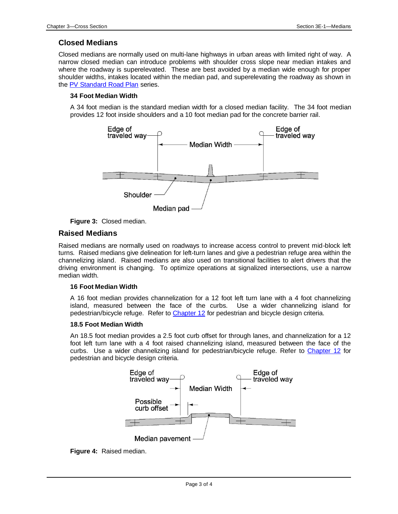#### **Closed Medians**

Closed medians are normally used on multi-lane highways in urban areas with limited right of way. A narrow closed median can introduce problems with shoulder cross slope near median intakes and where the roadway is superelevated. These are best avoided by a median wide enough for proper shoulder widths, intakes located within the median pad, and superelevating the roadway as shown in th[e PV Standard Road Plan](../stdplne_pv) series.

#### **34 Foot Median Width**

A 34 foot median is the standard median width for a closed median facility. The 34 foot median provides 12 foot inside shoulders and a 10 foot median pad for the concrete barrier rail.





#### **Raised Medians**

Raised medians are normally used on roadways to increase access control to prevent mid-block left turns. Raised medians give delineation for left-turn lanes and give a pedestrian refuge area within the channelizing island. Raised medians are also used on transitional facilities to alert drivers that the driving environment is changing. To optimize operations at signalized intersections, use a narrow median width.

#### **16 Foot Median Width**

A 16 foot median provides channelization for a 12 foot left turn lane with a 4 foot channelizing island, measured between the face of the curbs. Use a wider channelizing island for pedestrian/bicycle refuge. Refer to [Chapter 12](../design-manual#chapter12) for pedestrian and bicycle design criteria.

#### **18.5 Foot Median Width**

An 18.5 foot median provides a 2.5 foot curb offset for through lanes, and channelization for a 12 foot left turn lane with a 4 foot raised channelizing island, measured between the face of the curbs. Use a wider channelizing island for pedestrian/bicycle refuge. Refer to [Chapter 12](../design-manual#chapter12) for pedestrian and bicycle design criteria.



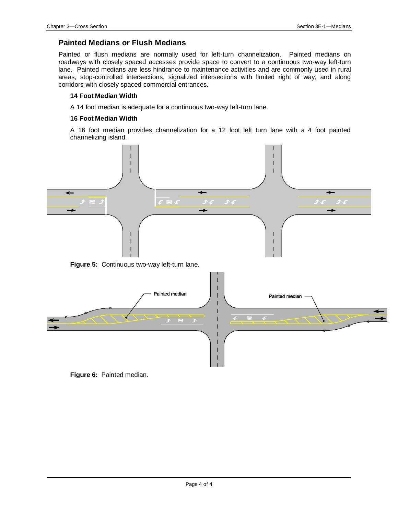#### **Painted Medians or Flush Medians**

Painted or flush medians are normally used for left-turn channelization. Painted medians on roadways with closely spaced accesses provide space to convert to a continuous two-way left-turn lane. Painted medians are less hindrance to maintenance activities and are commonly used in rural areas, stop-controlled intersections, signalized intersections with limited right of way, and along corridors with closely spaced commercial entrances.

#### **14 Foot Median Width**

A 14 foot median is adequate for a continuous two-way left-turn lane.

#### **16 Foot Median Width**

A 16 foot median provides channelization for a 12 foot left turn lane with a 4 foot painted channelizing island.